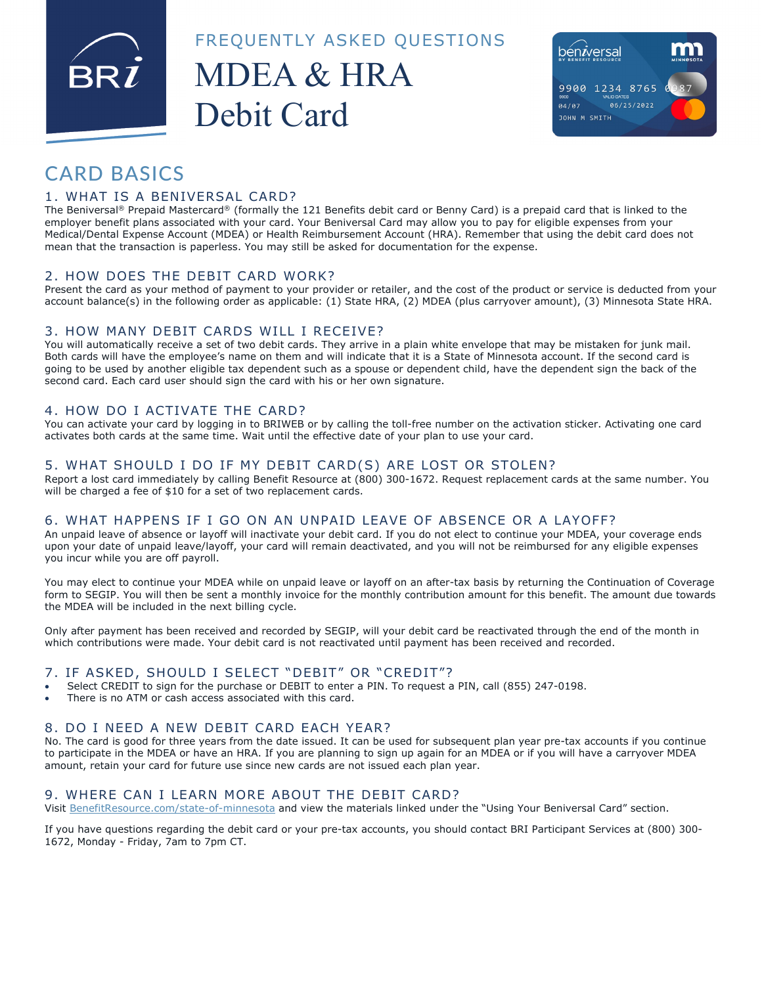FREQUENTLY ASKED QUESTIONS

## MDEA & HRA Debit Card



### CARD BASICS

#### 1. WHAT IS A BENIVERSAL CARD?

The Beniversal® Prepaid Mastercard® (formally the 121 Benefits debit card or Benny Card) is a prepaid card that is linked to the employer benefit plans associated with your card. Your Beniversal Card may allow you to pay for eligible expenses from your Medical/Dental Expense Account (MDEA) or Health Reimbursement Account (HRA). Remember that using the debit card does not mean that the transaction is paperless. You may still be asked for documentation for the expense.

#### 2. HOW DOES THE DEBIT CARD WORK?

Present the card as your method of payment to your provider or retailer, and the cost of the product or service is deducted from your account balance(s) in the following order as applicable: (1) State HRA, (2) MDEA (plus carryover amount), (3) Minnesota State HRA.

#### 3. HOW MANY DEBIT CARDS WILL I RECEIVE?

You will automatically receive a set of two debit cards. They arrive in a plain white envelope that may be mistaken for junk mail. Both cards will have the employee's name on them and will indicate that it is a State of Minnesota account. If the second card is going to be used by another eligible tax dependent such as a spouse or dependent child, have the dependent sign the back of the second card. Each card user should sign the card with his or her own signature.

#### 4. HOW DO I ACTIVATE THE CARD?

You can activate your card by logging in to BRIWEB or by calling the toll-free number on the activation sticker. Activating one card activates both cards at the same time. Wait until the effective date of your plan to use your card.

#### 5. WHAT SHOULD I DO IF MY DEBIT CARD(S) ARE LOST OR STOLEN?

Report a lost card immediately by calling Benefit Resource at (800) 300-1672. Request replacement cards at the same number. You will be charged a fee of \$10 for a set of two replacement cards.

#### 6. WHAT HAPPENS IF I GO ON AN UNPAID LEAVE OF ABSENCE OR A LAYOFF?

An unpaid leave of absence or layoff will inactivate your debit card. If you do not elect to continue your MDEA, your coverage ends upon your date of unpaid leave/layoff, your card will remain deactivated, and you will not be reimbursed for any eligible expenses you incur while you are off payroll.

You may elect to continue your MDEA while on unpaid leave or layoff on an after-tax basis by returning the Continuation of Coverage form to SEGIP. You will then be sent a monthly invoice for the monthly contribution amount for this benefit. The amount due towards the MDEA will be included in the next billing cycle.

Only after payment has been received and recorded by SEGIP, will your debit card be reactivated through the end of the month in which contributions were made. Your debit card is not reactivated until payment has been received and recorded.

#### 7. IF ASKED, SHOULD I SELECT "DEBIT" OR "CREDIT"?

- Select CREDIT to sign for the purchase or DEBIT to enter a PIN. To request a PIN, call (855) 247-0198.
- There is no ATM or cash access associated with this card.

#### 8. DO I NEED A NEW DEBIT CARD EACH YEAR?

No. The card is good for three years from the date issued. It can be used for subsequent plan year pre-tax accounts if you continue to participate in the MDEA or have an HRA. If you are planning to sign up again for an MDEA or if you will have a carryover MDEA amount, retain your card for future use since new cards are not issued each plan year.

#### 9. WHERE CAN I LEARN MORE ABOUT THE DEBIT CARD?

Visit BenefitResource.com/state-of-minnesota and view the materials linked under the "Using Your Beniversal Card" section.

If you have questions regarding the debit card or your pre-tax accounts, you should contact BRI Participant Services at (800) 300- 1672, Monday - Friday, 7am to 7pm CT.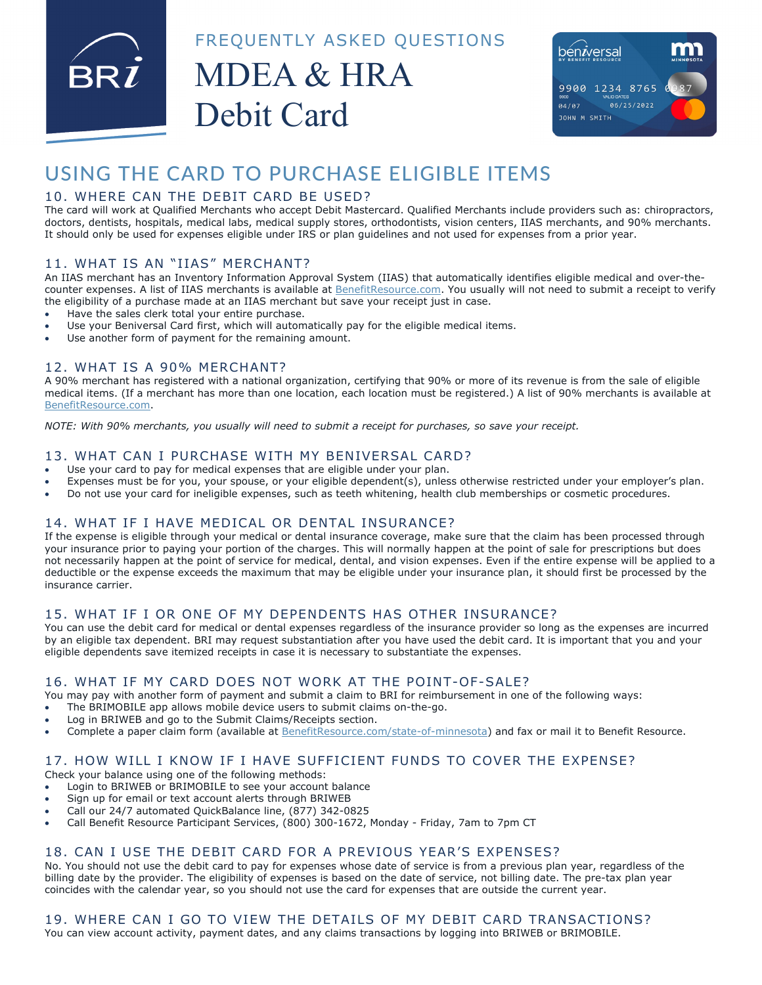FREQUENTLY ASKED QUESTIONS

# MDEA & HRA Debit Card



## USING THE CARD TO PURCHASE ELIGIBLE ITEMS

#### 10. WHERE CAN THE DEBIT CARD BE USED?

The card will work at Qualified Merchants who accept Debit Mastercard. Qualified Merchants include providers such as: chiropractors, doctors, dentists, hospitals, medical labs, medical supply stores, orthodontists, vision centers, IIAS merchants, and 90% merchants. It should only be used for expenses eligible under IRS or plan guidelines and not used for expenses from a prior year.

#### 11. WHAT IS AN "IIAS" MERCHANT?

An IIAS merchant has an Inventory Information Approval System (IIAS) that automatically identifies eligible medical and over-thecounter expenses. A list of IIAS merchants is available at BenefitResource.com. You usually will not need to submit a receipt to verify the eligibility of a purchase made at an IIAS merchant but save your receipt just in case.

- Have the sales clerk total your entire purchase.
- Use vour Beniversal Card first, which will automatically pay for the eligible medical items.
- Use another form of payment for the remaining amount.

#### 12. WHAT IS A 90% MERCHANT?

A 90% merchant has registered with a national organization, certifying that 90% or more of its revenue is from the sale of eligible medical items. (If a merchant has more than one location, each location must be registered.) A list of 90% merchants is available at BenefitResource.com.

*NOTE: With 90% merchants, you usually will need to submit a receipt for purchases, so save your receipt.* 

#### 13. WHAT CAN I PURCHASE WITH MY BENIVERSAL CARD?

- Use your card to pay for medical expenses that are eligible under your plan.
- Expenses must be for you, your spouse, or your eligible dependent(s), unless otherwise restricted under your employer's plan.
- Do not use your card for ineligible expenses, such as teeth whitening, health club memberships or cosmetic procedures.

#### 14. WHAT IF I HAVE MEDICAL OR DENTAL INSURANCE?

If the expense is eligible through your medical or dental insurance coverage, make sure that the claim has been processed through your insurance prior to paying your portion of the charges. This will normally happen at the point of sale for prescriptions but does not necessarily happen at the point of service for medical, dental, and vision expenses. Even if the entire expense will be applied to a deductible or the expense exceeds the maximum that may be eligible under your insurance plan, it should first be processed by the insurance carrier.

#### 15. WHAT IF I OR ONE OF MY DEPENDENTS HAS OTHER INSURANCE?

You can use the debit card for medical or dental expenses regardless of the insurance provider so long as the expenses are incurred by an eligible tax dependent. BRI may request substantiation after you have used the debit card. It is important that you and your eligible dependents save itemized receipts in case it is necessary to substantiate the expenses.

#### 16. WHAT IF MY CARD DOES NOT WORK AT THE POINT-OF-SALE?

You may pay with another form of payment and submit a claim to BRI for reimbursement in one of the following ways:

- The BRIMOBILE app allows mobile device users to submit claims on-the-go.
- Log in BRIWEB and go to the Submit Claims/Receipts section.
- Complete a paper claim form (available at BenefitResource.com/state-of-minnesota) and fax or mail it to Benefit Resource.

#### 17. HOW WILL I KNOW IF I HAVE SUFFICIENT FUNDS TO COVER THE EXPENSE?

- Check your balance using one of the following methods:
- Login to BRIWEB or BRIMOBILE to see your account balance
- Sign up for email or text account alerts through BRIWEB
- Call our 24/7 automated QuickBalance line, (877) 342-0825
- Call Benefit Resource Participant Services, (800) 300-1672, Monday Friday, 7am to 7pm CT

#### 18. CAN I USE THE DEBIT CARD FOR A PREVIOUS YEAR'S EXPENSES?

No. You should not use the debit card to pay for expenses whose date of service is from a previous plan year, regardless of the billing date by the provider. The eligibility of expenses is based on the date of service, not billing date. The pre-tax plan year coincides with the calendar year, so you should not use the card for expenses that are outside the current year.

### 19. WHERE CAN I GO TO VIEW THE DETAILS OF MY DEBIT CARD TRANSACTIONS?

You can view account activity, payment dates, and any claims transactions by logging into BRIWEB or BRIMOBILE.